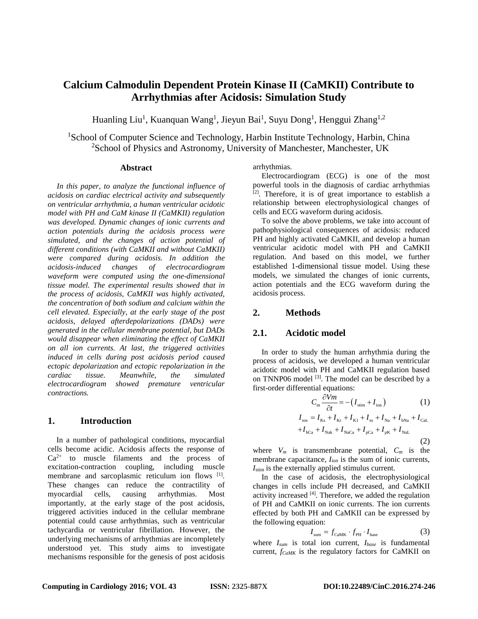# **Calcium Calmodulin Dependent Protein Kinase II (CaMKII) Contribute to Arrhythmias after Acidosis: Simulation Study**

Huanling Liu<sup>1</sup>, Kuanquan Wang<sup>1</sup>, Jieyun Bai<sup>1</sup>, Suyu Dong<sup>1</sup>, Henggui Zhang<sup>1,2</sup>

<sup>1</sup>School of Computer Science and Technology, Harbin Institute Technology, Harbin, China <sup>2</sup>School of Physics and Astronomy, University of Manchester, Manchester, UK

# **Abstract**

*In this paper, to analyze the functional influence of acidosis on cardiac electrical activity and subsequently on ventricular arrhythmia, a human ventricular acidotic model with PH and CaM kinase II (CaMKII) regulation was developed. Dynamic changes of ionic currents and action potentials during the acidosis process were simulated, and the changes of action potential of different conditions (with CaMKII and without CaMKII) were compared during acidosis. In addition the acidosis-induced changes of electrocardiogram waveform were computed using the one-dimensional tissue model. The experimental results showed that in the process of acidosis, CaMKII was highly activated, the concentration of both sodium and calcium within the cell elevated. Especially, at the early stage of the post acidosis, delayed afterdepolarizations (DADs) were generated in the cellular membrane potential, but DADs would disappear when eliminating the effect of CaMKII on all ion currents. At last, the triggered activities induced in cells during post acidosis period caused ectopic depolarization and ectopic repolarization in the cardiac tissue. Meanwhile, the simulated electrocardiogram showed premature ventricular contractions.* 

# **1. Introduction**

In a number of pathological conditions, myocardial cells become acidic. Acidosis affects the response of  $Ca^{2+}$  to muscle filaments and the process of excitation-contraction coupling, including muscle membrane and sarcoplasmic reticulum ion flows [1]. These changes can reduce the contractility of myocardial cells, causing arrhythmias. Most importantly, at the early stage of the post acidosis, triggered activities induced in the cellular membrane potential could cause arrhythmias, such as ventricular tachycardia or ventricular fibrillation. However, the underlying mechanisms of arrhythmias are incompletely understood yet. This study aims to investigate mechanisms responsible for the genesis of post acidosis

arrhythmias.

Electrocardiogram (ECG) is one of the most powerful tools in the diagnosis of cardiac arrhythmias [2]. Therefore, it is of great importance to establish a relationship between electrophysiological changes of cells and ECG waveform during acidosis.

To solve the above problems, we take into account of pathophysiological consequences of acidosis: reduced PH and highly activated CaMKII, and develop a human ventricular acidotic model with PH and CaMKII regulation. And based on this model, we further established 1-dimensional tissue model. Using these models, we simulated the changes of ionic currents, action potentials and the ECG waveform during the acidosis process.

# **2. Methods**

### **2.1. Acidotic model**

In order to study the human arrhythmia during the process of acidosis, we developed a human ventricular acidotic model with PH and CaMKII regulation based on TNNP06 model [3]. The model can be described by a first-order differential equations:

$$
C_{\rm m} \frac{\partial Vm}{\partial t} = -\left(I_{\rm sim} + I_{\rm ion}\right) \tag{1}
$$
\n
$$
I_{\rm ion} = I_{\rm ks} + I_{\rm kr} + I_{\rm k1} + I_{\rm to} + I_{\rm Na} + I_{\rm bNa} + I_{\rm cal}
$$
\n
$$
+I_{\rm bCa} + I_{\rm Nak} + I_{\rm NaCa} + I_{\rm pCa} + I_{\rm pk} + I_{\rm NaL}
$$
\n
$$
\tag{2}
$$

where  $V_m$  is transmembrane potential,  $C_m$  is the membrane capacitance, *Iion* is the sum of ionic currents, *I*<sub>stim</sub> is the externally applied stimulus current.

In the case of acidosis, the electrophysiological changes in cells include PH decreased, and CaMKII activity increased [4]. Therefore, we added the regulation of PH and CaMKII on ionic currents. The ion currents effected by both PH and CaMKII can be expressed by the following equation:

$$
I_{\text{sum}} = f_{\text{CaMK}} \cdot f_{\text{PH}} \cdot I_{\text{base}} \tag{3}
$$

where *Isum* is total ion current, *Ibase* is fundamental current, *fCaMK* is the regulatory factors for CaMKII on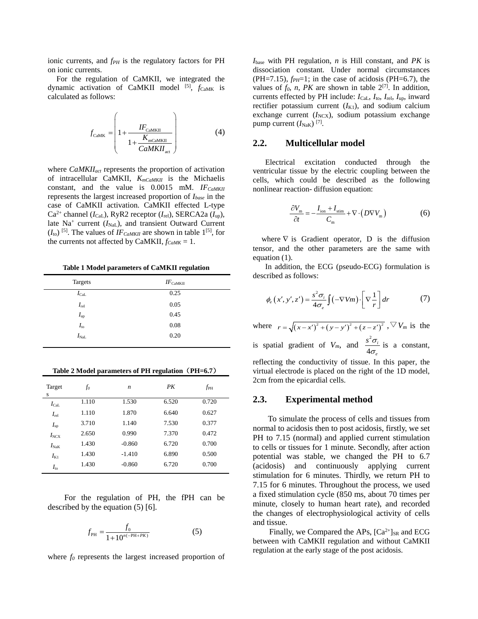ionic currents, and  $f_{PH}$  is the regulatory factors for PH on ionic currents.

For the regulation of CaMKII, we integrated the dynamic activation of CaMKII model <sup>[5]</sup>, *f*CaMK is calculated as follows:

$$
f_{\text{CaMK}} = \left( 1 + \frac{IF_{\text{CaMKII}}}{1 + \frac{K_{\text{mcaMKII}}}{CaMKII_{\text{act}}}} \right)
$$
(4)

where *CaMKIIact* represents the proportion of activation of intracellular CaMKII, *KmCaMKII* is the Michaelis constant, and the value is  $0.0015$  mM. *IF<sub>CaMKII</sub>* represents the largest increased proportion of *Ibase* in the case of CaMKII activation. CaMKII effected L-type  $Ca^{2+}$  channel ( $I_{\text{Cal}}$ ), RyR2 receptor ( $I_{\text{rel}}$ ), SERCA2a ( $I_{\text{up}}$ ), late Na<sup>+</sup> current (*I*<sub>NaL</sub>), and transient Outward Current  $(I<sub>to</sub>)$  <sup>[5]</sup>. The values of *IF<sub>CaMKII</sub>* are shown in table 1<sup>[5]</sup>, for the currents not affected by CaMKII,  $f_{CaMK} = 1$ .

**Table 1 Model parameters of CaMKII regulation**

| <b>Targets</b> | $IF_{\rm CaMKII}$ |
|----------------|-------------------|
| $I_{\rm CaL}$  | 0.25              |
| $I_{\rm rel}$  | 0.05              |
| $I_{\rm up}$   | 0.45              |
| $I_{\rm to}$   | 0.08              |
| $I_{\rm NaL}$  | 0.20              |

**Table 2 Model parameters of PH regulation**(**PH=6.7**)

| Target<br>S                    | f <sub>o</sub> | $\boldsymbol{n}$ | PК    | $f_{\rm PH}$ |
|--------------------------------|----------------|------------------|-------|--------------|
| $I_{\rm CaL}$                  | 1.110          | 1.530            | 6.520 | 0.720        |
| $I_{rel}$                      | 1.110          | 1.870            | 6.640 | 0.627        |
| $I_{\text{up}}$                | 3.710          | 1.140            | 7.530 | 0.377        |
| $I_{\text{NCX}}$               | 2.650          | 0.990            | 7.370 | 0.472        |
| $I_{\rm NaK}$                  | 1.430          | $-0.860$         | 6.720 | 0.700        |
| $I_{K1}$                       | 1.430          | $-1.410$         | 6.890 | 0.500        |
| $I_{\scriptscriptstyle\rm to}$ | 1.430          | $-0.860$         | 6.720 | 0.700        |

For the regulation of PH, the fPH can be described by the equation (5) [6].

$$
f_{\rm PH} = \frac{f_0}{1 + 10^{n(-PH + PK)}}\tag{5}
$$

where  $f_0$  represents the largest increased proportion of

*I*base with PH regulation, *n* is Hill constant, and *PK* is dissociation constant. Under normal circumstances (PH=7.15),  $f_{PH}$ =1; in the case of acidosis (PH=6.7), the values of  $f_0$ ,  $n$ ,  $PK$  are shown in table  $2^{[7]}$ . In addition, currents effected by PH include: *I*CaL, *I*to, *I*rel, *I*up, inward rectifier potassium current  $(I_{K1})$ , and sodium calcium exchange current  $(I_{NCX})$ , sodium potassium exchange pump current  $(I<sub>NaK</sub>)$ <sup>[7]</sup>.

### **2.2. Multicellular model**

Electrical excitation conducted through the ventricular tissue by the electric coupling between the cells, which could be described as the following nonlinear reaction- diffusion equation:

$$
\frac{\partial V_{\text{m}}}{\partial t} = -\frac{I_{\text{ion}} + I_{\text{stim}}}{C_{\text{m}}} + \nabla \cdot (D \nabla V_{\text{m}})
$$
(6)

where  $\nabla$  is Gradient operator, D is the diffusion tensor, and the other parameters are the same with equation (1).

In addition, the ECG (pseudo-ECG) formulation is described as follows:

$$
\phi_e(x', y', z') = \frac{s^2 \sigma_i}{4\sigma_e} \int (-\nabla V m) \cdot \left[ \nabla \frac{1}{r} \right] dr \tag{7}
$$

where  $r = \sqrt{(x-x')^2 + (y-y')^2 + (z-z')^2}$ ,  $\nabla V_m$  is the is spatial gradient of  $V_m$ , and  $\frac{s^2}{4}$ 4 *i e*  $s^2\sigma$  $\frac{\sigma_i}{\sigma}$  is a constant, reflecting the conductivity of tissue. In this paper, the virtual electrode is placed on the right of the 1D model, 2cm from the epicardial cells.

### **2.3. Experimental method**

To simulate the process of cells and tissues from normal to acidosis then to post acidosis, firstly, we set PH to 7.15 (normal) and applied current stimulation to cells or tissues for 1 minute. Secondly, after action potential was stable, we changed the PH to 6.7 (acidosis) and continuously applying current stimulation for 6 minutes. Thirdly, we return PH to 7.15 for 6 minutes. Throughout the process, we used a fixed stimulation cycle (850 ms, about 70 times per minute, closely to human heart rate), and recorded the changes of electrophysiological activity of cells and tissue.

Finally, we Compared the APs,  $[Ca^{2+}]_{SR}$  and ECG between with CaMKII regulation and without CaMKII regulation at the early stage of the post acidosis.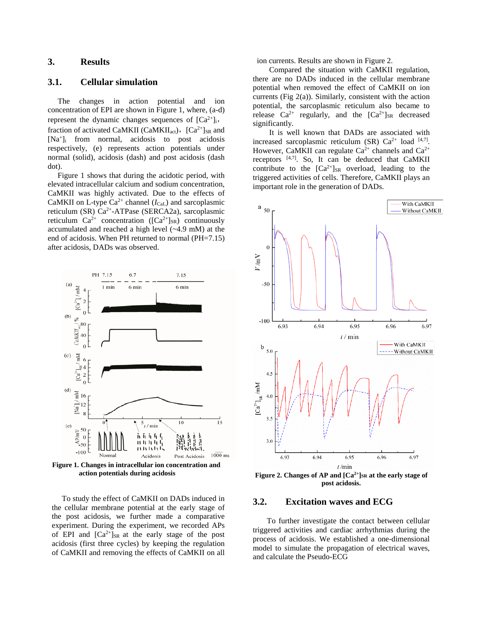# **3. Results**

# **3.1. Cellular simulation**

The changes in action potential and ion concentration of EPI are shown in Figure 1, where, (a-d) represent the dynamic changes sequences of  $[Ca^{2+}]_i$ , fraction of activated CaMKII (CaMKII<sub>act</sub>), [Ca<sup>2+</sup>]<sub>SR</sub> and [Na+]i from normal, acidosis to post acidosis respectively, (e) represents action potentials under normal (solid), acidosis (dash) and post acidosis (dash dot).

Figure 1 shows that during the acidotic period, with elevated intracellular calcium and sodium concentration, CaMKII was highly activated. Due to the effects of CaMKII on L-type  $Ca^{2+}$  channel ( $I_{CaL}$ ) and sarcoplasmic reticulum (SR) Ca2+-ATPase (SERCA2a), sarcoplasmic reticulum  $Ca^{2+}$  concentration ( $[Ca^{2+}]_{SR}$ ) continuously accumulated and reached a high level (~4.9 mM) at the end of acidosis. When PH returned to normal (PH=7.15) after acidosis, DADs was observed.



**Figure 1. Changes in intracellular ion concentration and action potentials during acidosis**

To study the effect of CaMKII on DADs induced in the cellular membrane potential at the early stage of the post acidosis, we further made a comparative experiment. During the experiment, we recorded APs of EPI and  $[Ca^{2+}]_{SR}$  at the early stage of the post acidosis (first three cycles) by keeping the regulation of CaMKII and removing the effects of CaMKII on all

ion currents. Results are shown in Figure 2.

Compared the situation with CaMKII regulation, there are no DADs induced in the cellular membrane potential when removed the effect of CaMKII on ion currents (Fig 2(a)). Similarly, consistent with the action potential, the sarcoplasmic reticulum also became to release  $Ca^{2+}$  regularly, and the  $[Ca^{2+}]_{SR}$  decreased significantly.

It is well known that DADs are associated with increased sarcoplasmic reticulum (SR)  $Ca^{2+}$  load  $[4,7]$ . However, CaMKII can regulate  $Ca^{2+}$  channels and  $Ca^{2+}$ receptors  $[4,7]$ . So, It can be deduced that CaMKII contribute to the  $[Ca^{2+}]_{SR}$  overload, leading to the triggered activities of cells. Therefore, CaMKII plays an important role in the generation of DADs.



### **3.2. Excitation waves and ECG**

To further investigate the contact between cellular triggered activities and cardiac arrhythmias during the process of acidosis. We established a one-dimensional model to simulate the propagation of electrical waves, and calculate the Pseudo-ECG